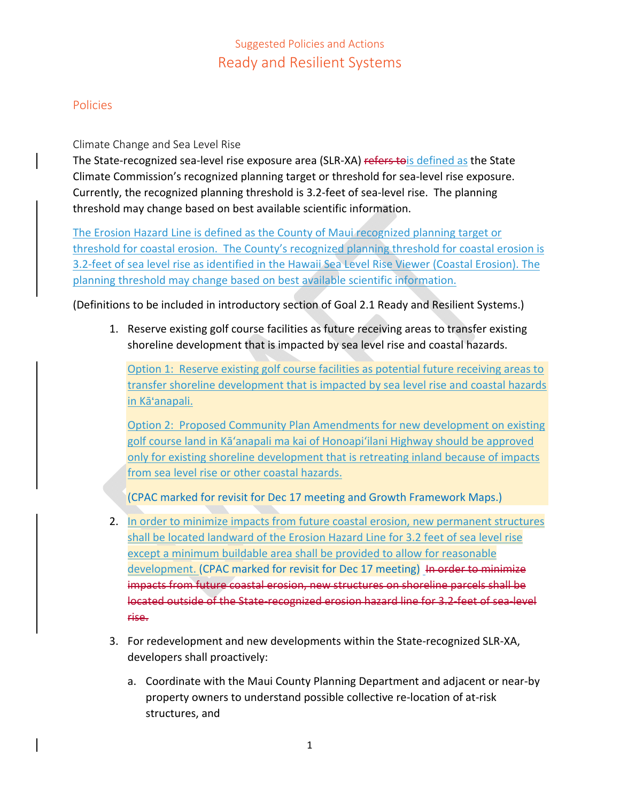# Suggested Policies and Actions Ready and Resilient Systems

### Policies

#### Climate Change and Sea Level Rise

The State-recognized sea-level rise exposure area (SLR-XA) refers to is defined as the State Climate Commission's recognized planning target or threshold for sea‐level rise exposure. Currently, the recognized planning threshold is 3.2‐feet of sea‐level rise. The planning threshold may change based on best available scientific information.

The Erosion Hazard Line is defined as the County of Maui recognized planning target or threshold for coastal erosion. The County's recognized planning threshold for coastal erosion is 3.2‐feet of sea level rise as identified in the Hawaii Sea Level Rise Viewer (Coastal Erosion). The planning threshold may change based on best available scientific information.

(Definitions to be included in introductory section of Goal 2.1 Ready and Resilient Systems.)

1. Reserve existing golf course facilities as future receiving areas to transfer existing shoreline development that is impacted by sea level rise and coastal hazards.

Option 1: Reserve existing golf course facilities as potential future receiving areas to transfer shoreline development that is impacted by sea level rise and coastal hazards in Kā'anapali.

Option 2: Proposed Community Plan Amendments for new development on existing golf course land in Kā'anapali ma kai of Honoapi'ilani Highway should be approved only for existing shoreline development that is retreating inland because of impacts from sea level rise or other coastal hazards.

(CPAC marked for revisit for Dec 17 meeting and Growth Framework Maps.)

- 2. In order to minimize impacts from future coastal erosion, new permanent structures shall be located landward of the Erosion Hazard Line for 3.2 feet of sea level rise except a minimum buildable area shall be provided to allow for reasonable development. (CPAC marked for revisit for Dec 17 meeting) In order to minimize impacts from future coastal erosion, new structures on shoreline parcels shall be located outside of the State recognized erosion hazard line for 3.2 feet of sea level rise.
- 3. For redevelopment and new developments within the State‐recognized SLR‐XA, developers shall proactively:
	- a. Coordinate with the Maui County Planning Department and adjacent or near‐by property owners to understand possible collective re‐location of at‐risk structures, and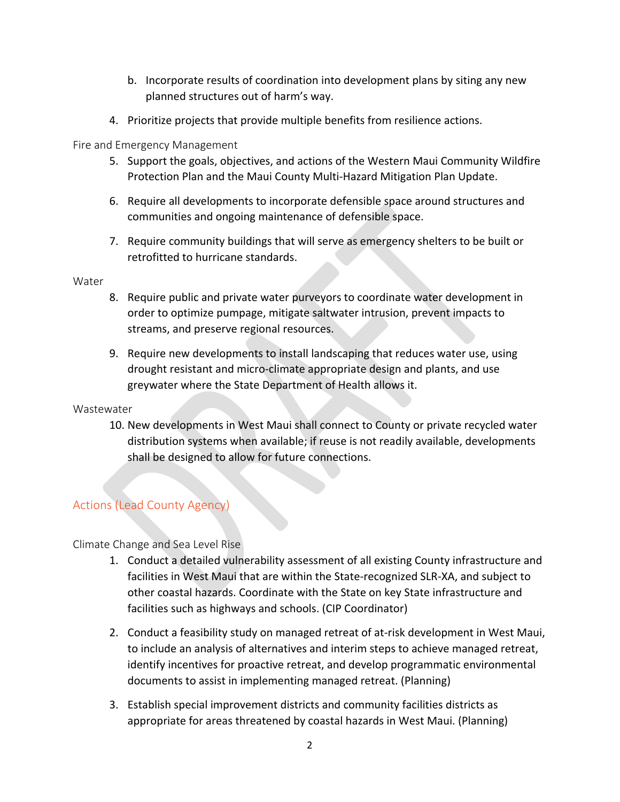- b. Incorporate results of coordination into development plans by siting any new planned structures out of harm's way.
- 4. Prioritize projects that provide multiple benefits from resilience actions.

Fire and Emergency Management

- 5. Support the goals, objectives, and actions of the Western Maui Community Wildfire Protection Plan and the Maui County Multi‐Hazard Mitigation Plan Update.
- 6. Require all developments to incorporate defensible space around structures and communities and ongoing maintenance of defensible space.
- 7. Require community buildings that will serve as emergency shelters to be built or retrofitted to hurricane standards.

**Water** 

- 8. Require public and private water purveyors to coordinate water development in order to optimize pumpage, mitigate saltwater intrusion, prevent impacts to streams, and preserve regional resources.
- 9. Require new developments to install landscaping that reduces water use, using drought resistant and micro‐climate appropriate design and plants, and use greywater where the State Department of Health allows it.

#### **Wastewater**

10. New developments in West Maui shall connect to County or private recycled water distribution systems when available; if reuse is not readily available, developments shall be designed to allow for future connections.

## Actions (Lead County Agency)

Climate Change and Sea Level Rise

- 1. Conduct a detailed vulnerability assessment of all existing County infrastructure and facilities in West Maui that are within the State‐recognized SLR‐XA, and subject to other coastal hazards. Coordinate with the State on key State infrastructure and facilities such as highways and schools. (CIP Coordinator)
- 2. Conduct a feasibility study on managed retreat of at-risk development in West Maui, to include an analysis of alternatives and interim steps to achieve managed retreat, identify incentives for proactive retreat, and develop programmatic environmental documents to assist in implementing managed retreat. (Planning)
- 3. Establish special improvement districts and community facilities districts as appropriate for areas threatened by coastal hazards in West Maui. (Planning)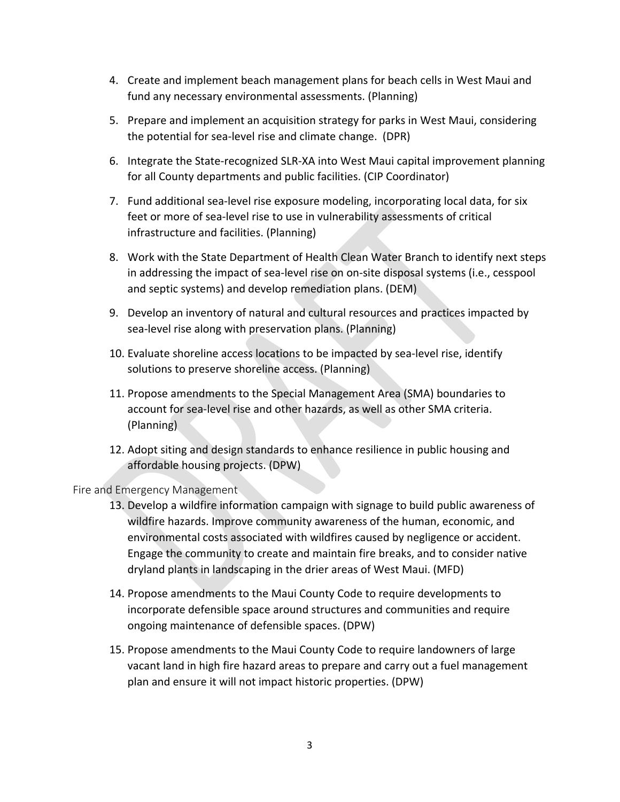- 4. Create and implement beach management plans for beach cells in West Maui and fund any necessary environmental assessments. (Planning)
- 5. Prepare and implement an acquisition strategy for parks in West Maui, considering the potential for sea‐level rise and climate change. (DPR)
- 6. Integrate the State‐recognized SLR‐XA into West Maui capital improvement planning for all County departments and public facilities. (CIP Coordinator)
- 7. Fund additional sea‐level rise exposure modeling, incorporating local data, for six feet or more of sea-level rise to use in vulnerability assessments of critical infrastructure and facilities. (Planning)
- 8. Work with the State Department of Health Clean Water Branch to identify next steps in addressing the impact of sea‐level rise on on‐site disposal systems (i.e., cesspool and septic systems) and develop remediation plans. (DEM)
- 9. Develop an inventory of natural and cultural resources and practices impacted by sea-level rise along with preservation plans. (Planning)
- 10. Evaluate shoreline access locations to be impacted by sea‐level rise, identify solutions to preserve shoreline access. (Planning)
- 11. Propose amendments to the Special Management Area (SMA) boundaries to account for sea‐level rise and other hazards, as well as other SMA criteria. (Planning)
- 12. Adopt siting and design standards to enhance resilience in public housing and affordable housing projects. (DPW)

Fire and Emergency Management

- 13. Develop a wildfire information campaign with signage to build public awareness of wildfire hazards. Improve community awareness of the human, economic, and environmental costs associated with wildfires caused by negligence or accident. Engage the community to create and maintain fire breaks, and to consider native dryland plants in landscaping in the drier areas of West Maui. (MFD)
- 14. Propose amendments to the Maui County Code to require developments to incorporate defensible space around structures and communities and require ongoing maintenance of defensible spaces. (DPW)
- 15. Propose amendments to the Maui County Code to require landowners of large vacant land in high fire hazard areas to prepare and carry out a fuel management plan and ensure it will not impact historic properties. (DPW)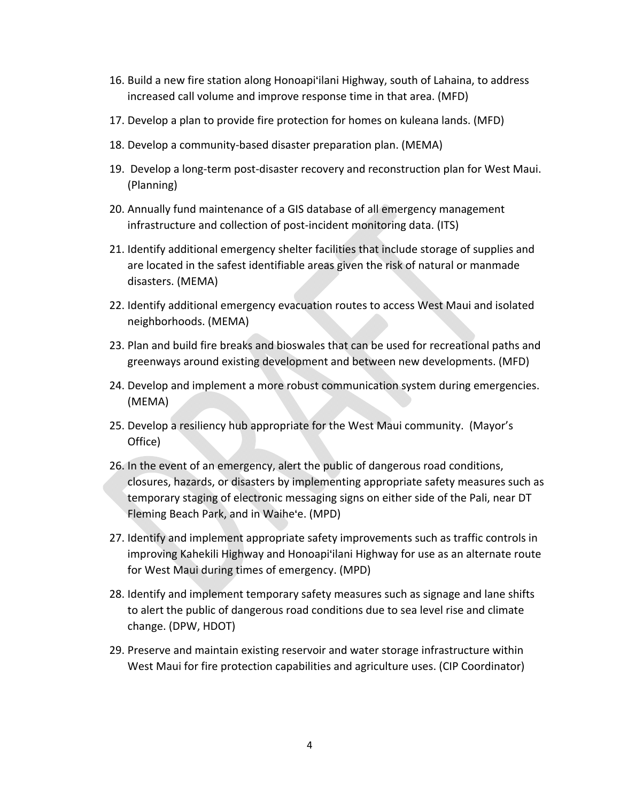- 16. Build a new fire station along Honoapi'ilani Highway, south of Lahaina, to address increased call volume and improve response time in that area. (MFD)
- 17. Develop a plan to provide fire protection for homes on kuleana lands. (MFD)
- 18. Develop a community‐based disaster preparation plan. (MEMA)
- 19. Develop a long-term post-disaster recovery and reconstruction plan for West Maui. (Planning)
- 20. Annually fund maintenance of a GIS database of all emergency management infrastructure and collection of post-incident monitoring data. (ITS)
- 21. Identify additional emergency shelter facilities that include storage of supplies and are located in the safest identifiable areas given the risk of natural or manmade disasters. (MEMA)
- 22. Identify additional emergency evacuation routes to access West Maui and isolated neighborhoods. (MEMA)
- 23. Plan and build fire breaks and bioswales that can be used for recreational paths and greenways around existing development and between new developments. (MFD)
- 24. Develop and implement a more robust communication system during emergencies. (MEMA)
- 25. Develop a resiliency hub appropriate for the West Maui community. (Mayor's Office)
- 26. In the event of an emergency, alert the public of dangerous road conditions, closures, hazards, or disasters by implementing appropriate safety measures such as temporary staging of electronic messaging signs on either side of the Pali, near DT Fleming Beach Park, and in Waihe'e. (MPD)
- 27. Identify and implement appropriate safety improvements such as traffic controls in improving Kahekili Highway and Honoapi'ilani Highway for use as an alternate route for West Maui during times of emergency. (MPD)
- 28. Identify and implement temporary safety measures such as signage and lane shifts to alert the public of dangerous road conditions due to sea level rise and climate change. (DPW, HDOT)
- 29. Preserve and maintain existing reservoir and water storage infrastructure within West Maui for fire protection capabilities and agriculture uses. (CIP Coordinator)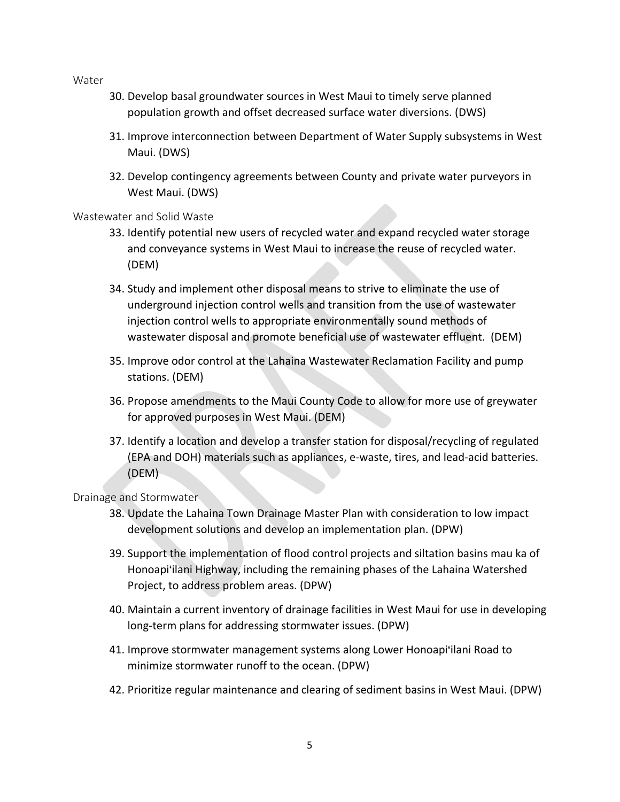Water

- 30. Develop basal groundwater sources in West Maui to timely serve planned population growth and offset decreased surface water diversions. (DWS)
- 31. Improve interconnection between Department of Water Supply subsystems in West Maui. (DWS)
- 32. Develop contingency agreements between County and private water purveyors in West Maui. (DWS)

#### Wastewater and Solid Waste

- 33. Identify potential new users of recycled water and expand recycled water storage and conveyance systems in West Maui to increase the reuse of recycled water. (DEM)
- 34. Study and implement other disposal means to strive to eliminate the use of underground injection control wells and transition from the use of wastewater injection control wells to appropriate environmentally sound methods of wastewater disposal and promote beneficial use of wastewater effluent. (DEM)
- 35. Improve odor control at the Lahaina Wastewater Reclamation Facility and pump stations. (DEM)
- 36. Propose amendments to the Maui County Code to allow for more use of greywater for approved purposes in West Maui. (DEM)
- 37. Identify a location and develop a transfer station for disposal/recycling of regulated (EPA and DOH) materials such as appliances, e‐waste, tires, and lead‐acid batteries. (DEM)

#### Drainage and Stormwater

- 38. Update the Lahaina Town Drainage Master Plan with consideration to low impact development solutions and develop an implementation plan. (DPW)
- 39. Support the implementation of flood control projects and siltation basins mau ka of Honoapi'ilani Highway, including the remaining phases of the Lahaina Watershed Project, to address problem areas. (DPW)
- 40. Maintain a current inventory of drainage facilities in West Maui for use in developing long‐term plans for addressing stormwater issues. (DPW)
- 41. Improve stormwater management systems along Lower Honoapi'ilani Road to minimize stormwater runoff to the ocean. (DPW)
- 42. Prioritize regular maintenance and clearing of sediment basins in West Maui. (DPW)